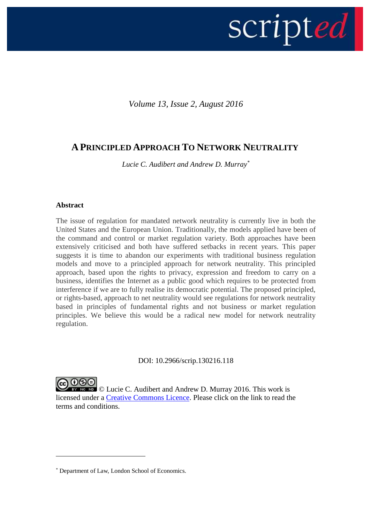

*Volume 13, Issue 2, August 2016*

# **A PRINCIPLED APPROACH TO NETWORK NEUTRALITY**

*Lucie C. Audibert and Andrew D. Murray\**

# **Abstract**

1

The issue of regulation for mandated network neutrality is currently live in both the United States and the European Union. Traditionally, the models applied have been of the command and control or market regulation variety. Both approaches have been extensively criticised and both have suffered setbacks in recent years. This paper suggests it is time to abandon our experiments with traditional business regulation models and move to a principled approach for network neutrality. This principled approach, based upon the rights to privacy, expression and freedom to carry on a business, identifies the Internet as a public good which requires to be protected from interference if we are to fully realise its democratic potential. The proposed principled, or rights-based, approach to net neutrality would see regulations for network neutrality based in principles of fundamental rights and not business or market regulation principles. We believe this would be a radical new model for network neutrality regulation.

DOI: 10.2966/scrip.130216.118

© 0\$€ EV NG ND © Lucie C. Audibert and Andrew D. Murray 2016. This work is licensed under a [Creative Commons Licence.](http://creativecommons.org/licenses/by-nc-nd/2.5/scotland/) Please click on the link to read the terms and conditions.

<sup>\*</sup> Department of Law, London School of Economics.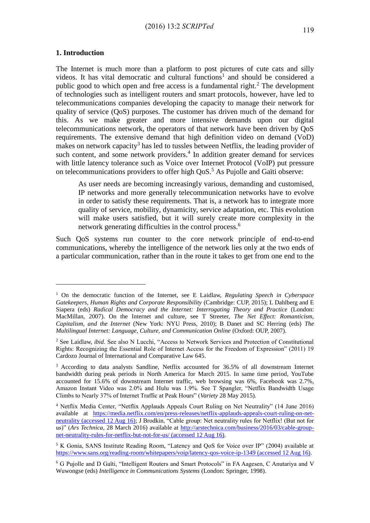#### **1. Introduction**

1

The Internet is much more than a platform to post pictures of cute cats and silly videos. It has vital democratic and cultural functions<sup>1</sup> and should be considered a public good to which open and free access is a fundamental right.<sup>2</sup> The development of technologies such as intelligent routers and smart protocols, however, have led to telecommunications companies developing the capacity to manage their network for quality of service (QoS) purposes. The customer has driven much of the demand for this. As we make greater and more intensive demands upon our digital telecommunications network, the operators of that network have been driven by QoS requirements. The extensive demand that high definition video on demand (VoD) makes on network capacity<sup>3</sup> has led to tussles between Netflix, the leading provider of such content, and some network providers.<sup>4</sup> In addition greater demand for services with little latency tolerance such as Voice over Internet Protocol (VoIP) put pressure on telecommunications providers to offer high  $QoS$ <sup>5</sup>. As Pujolle and Gaïti observe:

As user needs are becoming increasingly various, demanding and customised, IP networks and more generally telecommunication networks have to evolve in order to satisfy these requirements. That is, a network has to integrate more quality of service, mobility, dynamicity, service adaptation, etc. This evolution will make users satisfied, but it will surely create more complexity in the network generating difficulties in the control process.<sup>6</sup>

Such QoS systems run counter to the core network principle of end-to-end communications, whereby the intelligence of the network lies only at the two ends of a particular communication, rather than in the route it takes to get from one end to the

<sup>1</sup> On the democratic function of the Internet, see E Laidlaw, *Regulating Speech in Cyberspace Gatekeepers, Human Rights and Corporate Responsibility* (Cambridge: CUP, 2015); L Dahlberg and E Siapera (eds) *Radical Democracy and the Internet: Interrogating Theory and Practice* (London: MacMillan, 2007). On the Internet and culture, see T Streeter, *The Net Effect: Romanticism, Capitalism, and the Internet* (New York: NYU Press, 2010); B Danet and SC Herring (eds) *The Multilingual Internet: Language, Culture, and Communication Online* (Oxford: OUP, 2007).

<sup>2</sup> See Laidlaw, *ibid*. See also N Lucchi, "Access to Network Services and Protection of Constitutional Rights: Recognizing the Essential Role of Internet Access for the Freedom of Expression" (2011) 19 Cardozo Journal of International and Comparative Law 645.

<sup>3</sup> According to data analysts Sandline, Netflix accounted for 36.5% of all downstream Internet bandwidth during peak periods in North America for March 2015. In same time period, YouTube accounted for 15.6% of downstream Internet traffic, web browsing was 6%, Facebook was 2.7%, Amazon Instant Video was 2.0% and Hulu was 1.9%. See T Spangler, "Netflix Bandwidth Usage Climbs to Nearly 37% of Internet Traffic at Peak Hours" (*Variety* 28 May 2015).

<sup>4</sup> Netflix Media Center, "Netflix Applauds Appeals Court Ruling on Net Neutrality" (14 June 2016) available at [https://media.netflix.com/en/press-releases/netflix-applauds-appeals-court-ruling-on-net](https://media.netflix.com/en/press-releases/netflix-applauds-appeals-court-ruling-on-net-neutrality)[neutrality](https://media.netflix.com/en/press-releases/netflix-applauds-appeals-court-ruling-on-net-neutrality) (accessed 12 Aug 16); J Brodkin, "Cable group: Net neutrality rules for Netflix! (But not for us)" (*Ars Technica*, 28 March 2016) available at [http://arstechnica.com/business/2016/03/cable-group](http://arstechnica.com/business/2016/03/cable-group-net-neutrality-rules-for-netflix-but-not-for-us/)[net-neutrality-rules-for-netflix-but-not-for-us/](http://arstechnica.com/business/2016/03/cable-group-net-neutrality-rules-for-netflix-but-not-for-us/) (accessed 12 Aug 16).

<sup>5</sup> K Gonia, SANS Institute Reading Room, "Latency and QoS for Voice over IP" (2004) available at <https://www.sans.org/reading-room/whitepapers/voip/latency-qos-voice-ip-1349> (accessed 12 Aug 16).

<sup>6</sup> G Pujolle and D Gaïti, "Intelligent Routers and Smart Protocols" in FA Aagesen, C Anutariya and V Wuwongse (eds) *Intelligence in Communications Systems* (London: Springer, 1998).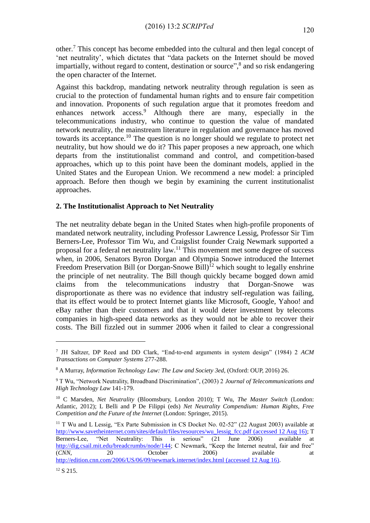other.<sup>7</sup> This concept has become embedded into the cultural and then legal concept of 'net neutrality', which dictates that "data packets on the Internet should be moved impartially, without regard to content, destination or source",<sup>8</sup> and so risk endangering the open character of the Internet.

Against this backdrop, mandating network neutrality through regulation is seen as crucial to the protection of fundamental human rights and to ensure fair competition and innovation. Proponents of such regulation argue that it promotes freedom and enhances network access.<sup>9</sup> Although there are many, especially in the telecommunications industry, who continue to question the value of mandated network neutrality, the mainstream literature in regulation and governance has moved towards its acceptance.<sup>10</sup> The question is no longer should we regulate to protect net neutrality, but how should we do it? This paper proposes a new approach, one which departs from the institutionalist command and control, and competition-based approaches, which up to this point have been the dominant models, applied in the United States and the European Union. We recommend a new model: a principled approach. Before then though we begin by examining the current institutionalist approaches.

# **2. The Institutionalist Approach to Net Neutrality**

The net neutrality debate began in the United States when high-profile proponents of mandated network neutrality, including Professor Lawrence Lessig, Professor Sir Tim Berners-Lee, Professor Tim Wu, and Craigslist founder Craig Newmark supported a proposal for a federal net neutrality  $law<sup>11</sup>$ . This movement met some degree of success when, in 2006, Senators Byron Dorgan and Olympia Snowe introduced the Internet Freedom Preservation Bill (or Dorgan-Snowe Bill)<sup>12</sup> which sought to legally enshrine the principle of net neutrality. The Bill though quickly became bogged down amid claims from the telecommunications industry that Dorgan-Snowe was disproportionate as there was no evidence that industry self-regulation was failing, that its effect would be to protect Internet giants like Microsoft, Google, Yahoo! and eBay rather than their customers and that it would deter investment by telecoms companies in high-speed data networks as they would not be able to recover their costs. The Bill fizzled out in summer 2006 when it failed to clear a congressional

<u>.</u>

<sup>7</sup> JH Saltzer, DP Reed and DD Clark, "End-to-end arguments in system design" (1984) 2 *ACM Transactions on Computer Systems* 277-288.

<sup>8</sup> A Murray, *Information Technology Law: The Law and Society 3ed*, (Oxford: OUP, 2016) 26.

<sup>9</sup> T Wu, "Network Neutrality, Broadband Discrimination", (2003) 2 *Journal of Telecommunications and High Technology Law* 141-179.

<sup>10</sup> C Marsden, *Net Neutrality* (Bloomsbury, London 2010); T Wu, *The Master Switch* (London: Atlantic, 2012); L Belli and P De Filippi (eds) *Net Neutrality Compendium: Human Rights, Free Competition and the Future of the Internet* (London: Springer, 2015).

<sup>&</sup>lt;sup>11</sup> T Wu and L Lessig, "Ex Parte Submission in CS Docket No. 02-52" (22 August 2003) available at [http://www.savetheinternet.com/sites/default/files/resources/wu\\_lessig\\_fcc.pdf](http://www.savetheinternet.com/sites/default/files/resources/wu_lessig_fcc.pdf) (accessed 12 Aug 16); T Berners-Lee, "Net Neutrality: This is serious" (21 June 2006) available at [http://dig.csail.mit.edu/breadcrumbs/node/144;](http://dig.csail.mit.edu/breadcrumbs/node/144) C Newmark, "Keep the Internet neutral, fair and free" (*CNN*, 20 October 2006) available at <http://edition.cnn.com/2006/US/06/09/newmark.internet/index.html> (accessed 12 Aug 16).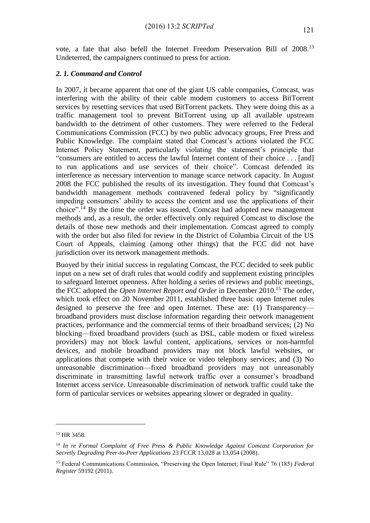vote, a fate that also befell the Internet Freedom Preservation Bill of 2008.<sup>13</sup> Undeterred, the campaigners continued to press for action.

#### *2. 1. Command and Control*

In 2007, it became apparent that one of the giant US cable companies, Comcast, was interfering with the ability of their cable modem customers to access BitTorrent services by resetting services that used BitTorrent packets. They were doing this as a traffic management tool to prevent BitTorrent using up all available upstream bandwidth to the detriment of other customers. They were referred to the Federal Communications Commission (FCC) by two public advocacy groups, Free Press and Public Knowledge. The complaint stated that Comcast's actions violated the FCC Internet Policy Statement, particularly violating the statement's principle that "consumers are entitled to access the lawful Internet content of their choice . . . [and] to run applications and use services of their choice". Comcast defended its interference as necessary intervention to manage scarce network capacity. In August 2008 the FCC published the results of its investigation. They found that Comcast's bandwidth management methods contravened federal policy by "significantly impeding consumers' ability to access the content and use the applications of their choice". <sup>14</sup> By the time the order was issued, Comcast had adopted new management methods and, as a result, the order effectively only required Comcast to disclose the details of those new methods and their implementation. Comcast agreed to comply with the order but also filed for review in the District of Columbia Circuit of the US Court of Appeals, claiming (among other things) that the FCC did not have jurisdiction over its network management methods.

Buoyed by their initial success in regulating Comcast, the FCC decided to seek public input on a new set of draft rules that would codify and supplement existing principles to safeguard Internet openness. After holding a series of reviews and public meetings, the FCC adopted the *Open Internet Report and Order* in December 2010.<sup>15</sup> The order, which took effect on 20 November 2011, established three basic open Internet rules designed to preserve the free and open Internet. These are: (1) Transparency broadband providers must disclose information regarding their network management practices, performance and the commercial terms of their broadband services; (2) No blocking—fixed broadband providers (such as DSL, cable modem or fixed wireless providers) may not block lawful content, applications, services or non-harmful devices, and mobile broadband providers may not block lawful websites, or applications that compete with their voice or video telephony services; and (3) No unreasonable discrimination—fixed broadband providers may not unreasonably discriminate in transmitting lawful network traffic over a consumer's broadband Internet access service. Unreasonable discrimination of network traffic could take the form of particular services or websites appearing slower or degraded in quality.

<u>.</u>

<sup>13</sup> HR 3458.

<sup>14</sup> *In re Formal Complaint of Free Press & Public Knowledge Against Comcast Corporation for Secretly Degrading Peer-to-Peer Applications* 23 FCCR 13,028 at 13,054 (2008).

<sup>15</sup> Federal Communications Commission, "Preserving the Open Internet; Final Rule" 76 (185) *Federal Register* 59192 (2011).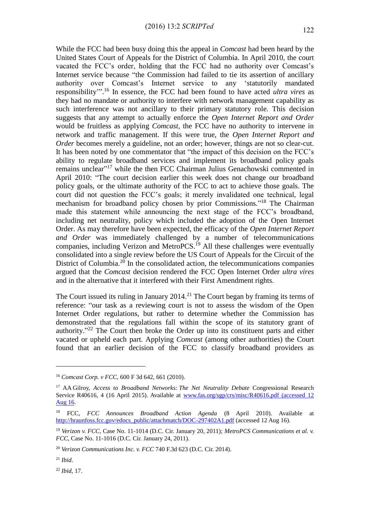While the FCC had been busy doing this the appeal in *Comcast* had been heard by the United States Court of Appeals for the District of Columbia. In April 2010, the court vacated the FCC's order, holding that the FCC had no authority over Comcast's Internet service because "the Commission had failed to tie its assertion of ancillary authority over Comcast's Internet service to any 'statutorily mandated responsibility'". <sup>16</sup> In essence, the FCC had been found to have acted *ultra vires* as they had no mandate or authority to interfere with network management capability as such interference was not ancillary to their primary statutory role. This decision suggests that any attempt to actually enforce the *Open Internet Report and Order* would be fruitless as applying *Comcast*, the FCC have no authority to intervene in network and traffic management. If this were true, the *Open Internet Report and Order* becomes merely a guideline, not an order; however, things are not so clear-cut. It has been noted by one commentator that "the impact of this decision on the FCC's ability to regulate broadband services and implement its broadband policy goals remains unclear"<sup>17</sup> while the then FCC Chairman Julius Genachowski commented in April 2010: "The court decision earlier this week does not change our broadband policy goals, or the ultimate authority of the FCC to act to achieve those goals. The court did not question the FCC's goals; it merely invalidated one technical, legal mechanism for broadband policy chosen by prior Commissions."<sup>18</sup> The Chairman made this statement while announcing the next stage of the FCC's broadband, including net neutrality, policy which included the adoption of the Open Internet Order. As may therefore have been expected, the efficacy of the *Open Internet Report and Order* was immediately challenged by a number of telecommunications companies, including Verizon and MetroPCS.<sup>19</sup> All these challenges were eventually consolidated into a single review before the US Court of Appeals for the Circuit of the District of Columbia.<sup>20</sup> In the consolidated action, the telecommunications companies argued that the *Comcast* decision rendered the FCC Open Internet Order *ultra vires* and in the alternative that it interfered with their First Amendment rights.

The Court issued its ruling in January  $2014<sup>21</sup>$  The Court began by framing its terms of reference: "our task as a reviewing court is not to assess the wisdom of the Open Internet Order regulations, but rather to determine whether the Commission has demonstrated that the regulations fall within the scope of its statutory grant of authority."<sup>22</sup> The Court then broke the Order up into its constituent parts and either vacated or upheld each part. Applying *Comcast* (among other authorities) the Court found that an earlier decision of the FCC to classify broadband providers as

<sup>16</sup> *Comcast Corp. v FCC*, 600 F 3d 642, 661 (2010).

<sup>17</sup> AA Gilroy, *Access to Broadband Networks: The Net Neutrality Debate* Congressional Research Service R40616, 4 (16 April 2015). Available at [www.fas.org/sgp/crs/misc/R40616.pdf](http://www.fas.org/sgp/crs/misc/R40616.pdf) (accessed 12 Aug 16.

<sup>18</sup> FCC, *FCC Announces Broadband Action Agenda* (8 April 2010). Available at [http://hraunfoss.fcc.gov/edocs\\_public/attachmatch/DOC-297402A1.pdf](http://hraunfoss.fcc.gov/edocs_public/attachmatch/DOC-297402A1.pdf) (accessed 12 Aug 16).

<sup>19</sup> *Verizon v. FCC*, Case No. 11-1014 (D.C. Cir. January 20, 2011); *MetroPCS Communications et al. v. FCC*, Case No. 11-1016 (D.C. Cir. January 24, 2011).

<sup>20</sup> *Verizon Communications Inc. v. FCC* 740 F.3d 623 (D.C. Cir. 2014).

<sup>21</sup> *Ibid*.

<sup>22</sup> *Ibid,* 17.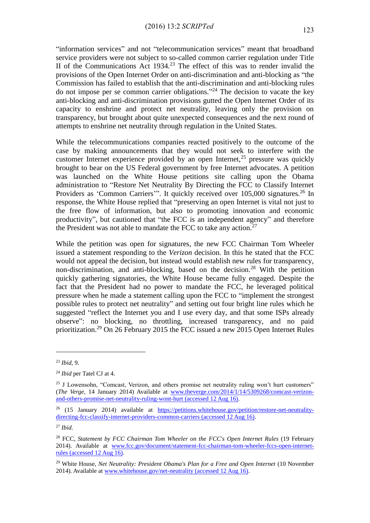"information services" and not "telecommunication services" meant that broadband service providers were not subject to so-called common carrier regulation under Title II of the Communications Act  $1934<sup>23</sup>$  The effect of this was to render invalid the provisions of the Open Internet Order on anti-discrimination and anti-blocking as "the Commission has failed to establish that the anti-discrimination and anti-blocking rules do not impose per se common carrier obligations." <sup>24</sup> The decision to vacate the key anti-blocking and anti-discrimination provisions gutted the Open Internet Order of its capacity to enshrine and protect net neutrality, leaving only the provision on transparency, but brought about quite unexpected consequences and the next round of attempts to enshrine net neutrality through regulation in the United States.

While the telecommunications companies reacted positively to the outcome of the case by making announcements that they would not seek to interfere with the customer Internet experience provided by an open Internet,<sup>25</sup> pressure was quickly brought to bear on the US Federal government by free Internet advocates. A petition was launched on the White House petitions site calling upon the Obama administration to "Restore Net Neutrality By Directing the FCC to Classify Internet Providers as 'Common Carriers'". It quickly received over 105,000 signatures.<sup>26</sup> In response, the White House replied that "preserving an open Internet is vital not just to the free flow of information, but also to promoting innovation and economic productivity", but cautioned that "the FCC is an independent agency" and therefore the President was not able to mandate the FCC to take any action.<sup>27</sup>

While the petition was open for signatures, the new FCC Chairman Tom Wheeler issued a statement responding to the *Verizon* decision. In this he stated that the FCC would not appeal the decision, but instead would establish new rules for transparency, non-discrimination, and anti-blocking, based on the decision.<sup>28</sup> With the petition quickly gathering signatories, the White House became fully engaged. Despite the fact that the President had no power to mandate the FCC, he leveraged political pressure when he made a statement calling upon the FCC to "implement the strongest possible rules to protect net neutrality" and setting out four bright line rules which he suggested "reflect the Internet you and I use every day, and that some ISPs already observe": no blocking, no throttling, increased transparency, and no paid prioritization.<sup>29</sup> On 26 February 2015 the FCC issued a new 2015 Open Internet Rules

<sup>23</sup> *Ibid,* 9.

<sup>24</sup> *Ibid* per Tatel CJ at 4.

 $25$  J Lowensohn, "Comcast, Verizon, and others promise net neutrality ruling won't hurt customers" (*The Verge*, 14 January 2014) Available at [www.theverge.com/2014/1/14/5309268/comcast-verizon](http://www.theverge.com/2014/1/14/5309268/comcast-verizon-and-others-promise-net-neutrality-ruling-wont-hurt)[and-others-promise-net-neutrality-ruling-wont-hurt](http://www.theverge.com/2014/1/14/5309268/comcast-verizon-and-others-promise-net-neutrality-ruling-wont-hurt) (accessed 12 Aug 16).

<sup>26</sup> (15 January 2014) available at [https://petitions.whitehouse.gov/petition/restore-net-neutrality](https://petitions.whitehouse.gov/petition/restore-net-neutrality-directing-fcc-classify-internet-providers-common-carriers)[directing-fcc-classify-internet-providers-common-carriers](https://petitions.whitehouse.gov/petition/restore-net-neutrality-directing-fcc-classify-internet-providers-common-carriers) (accessed 12 Aug 16).

<sup>27</sup> *Ibid*.

<sup>28</sup> FCC, *Statement by FCC Chairman Tom Wheeler on the FCC's Open Internet Rules* (19 February 2014). Available at [www.fcc.gov/document/statement-fcc-chairman-tom-wheeler-fccs-open-internet](http://www.fcc.gov/document/statement-fcc-chairman-tom-wheeler-fccs-open-internet-rules)[rules](http://www.fcc.gov/document/statement-fcc-chairman-tom-wheeler-fccs-open-internet-rules) (accessed 12 Aug 16).

<sup>29</sup> White House, *Net Neutrality: President Obama's Plan for a Free and Open Internet* (10 November 2014). Available at [www.whitehouse.gov/net-neutrality](http://www.whitehouse.gov/net-neutrality) (accessed 12 Aug 16).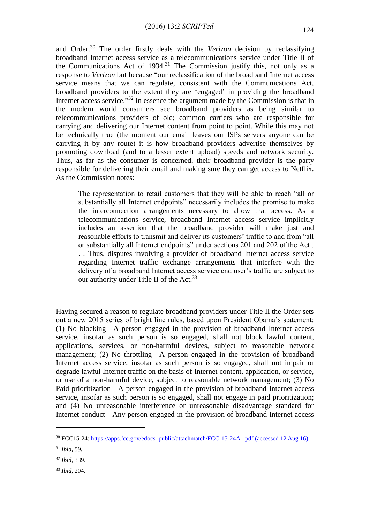and Order.<sup>30</sup> The order firstly deals with the *Verizon* decision by reclassifying broadband Internet access service as a telecommunications service under Title II of the Communications Act of  $1934$ <sup>31</sup>. The Commission justify this, not only as a response to *Verizon* but because "our reclassification of the broadband Internet access service means that we can regulate, consistent with the Communications Act, broadband providers to the extent they are 'engaged' in providing the broadband Internet access service."<sup>32</sup> In essence the argument made by the Commission is that in the modern world consumers see broadband providers as being similar to telecommunications providers of old; common carriers who are responsible for carrying and delivering our Internet content from point to point. While this may not be technically true (the moment our email leaves our ISPs servers anyone can be carrying it by any route) it is how broadband providers advertise themselves by promoting download (and to a lesser extent upload) speeds and network security. Thus, as far as the consumer is concerned, their broadband provider is the party responsible for delivering their email and making sure they can get access to Netflix. As the Commission notes:

The representation to retail customers that they will be able to reach "all or substantially all Internet endpoints" necessarily includes the promise to make the interconnection arrangements necessary to allow that access. As a telecommunications service, broadband Internet access service implicitly includes an assertion that the broadband provider will make just and reasonable efforts to transmit and deliver its customers' traffic to and from "all or substantially all Internet endpoints" under sections 201 and 202 of the Act . . . Thus, disputes involving a provider of broadband Internet access service regarding Internet traffic exchange arrangements that interfere with the delivery of a broadband Internet access service end user's traffic are subject to our authority under Title II of the Act.<sup>33</sup>

Having secured a reason to regulate broadband providers under Title II the Order sets out a new 2015 series of bright line rules, based upon President Obama's statement: (1) No blocking—A person engaged in the provision of broadband Internet access service, insofar as such person is so engaged, shall not block lawful content, applications, services, or non-harmful devices, subject to reasonable network management; (2) No throttling—A person engaged in the provision of broadband Internet access service, insofar as such person is so engaged, shall not impair or degrade lawful Internet traffic on the basis of Internet content, application, or service, or use of a non-harmful device, subject to reasonable network management; (3) No Paid prioritization—A person engaged in the provision of broadband Internet access service, insofar as such person is so engaged, shall not engage in paid prioritization; and (4) No unreasonable interference or unreasonable disadvantage standard for Internet conduct—Any person engaged in the provision of broadband Internet access

<sup>&</sup>lt;sup>30</sup> FCC15-24: [https://apps.fcc.gov/edocs\\_public/attachmatch/FCC-15-24A1.pdf](https://apps.fcc.gov/edocs_public/attachmatch/FCC-15-24A1.pdf) (accessed 12 Aug 16).

<sup>31</sup> *Ibid,* 59.

<sup>32</sup> *Ibid,* 339.

<sup>33</sup> *Ibid*, 204.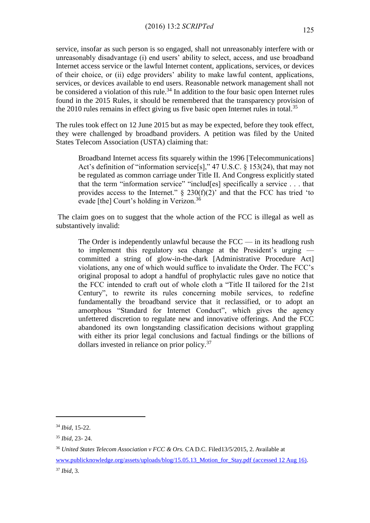service, insofar as such person is so engaged, shall not unreasonably interfere with or unreasonably disadvantage (i) end users' ability to select, access, and use broadband Internet access service or the lawful Internet content, applications, services, or devices of their choice, or (ii) edge providers' ability to make lawful content, applications, services, or devices available to end users. Reasonable network management shall not be considered a violation of this rule.<sup>34</sup> In addition to the four basic open Internet rules found in the 2015 Rules, it should be remembered that the transparency provision of the 2010 rules remains in effect giving us five basic open Internet rules in total.<sup>35</sup>

The rules took effect on 12 June 2015 but as may be expected, before they took effect, they were challenged by broadband providers. A petition was filed by the United States Telecom Association (USTA) claiming that:

Broadband Internet access fits squarely within the 1996 [Telecommunications] Act's definition of "information service[s]," 47 U.S.C. § 153(24), that may not be regulated as common carriage under Title II. And Congress explicitly stated that the term "information service" "includ[es] specifically a service . . . that provides access to the Internet."  $\S$  230(f)(2)' and that the FCC has tried 'to evade [the] Court's holding in Verizon.<sup>36</sup>

The claim goes on to suggest that the whole action of the FCC is illegal as well as substantively invalid:

The Order is independently unlawful because the  $FCC$  — in its headlong rush to implement this regulatory sea change at the President's urging committed a string of glow-in-the-dark [Administrative Procedure Act] violations, any one of which would suffice to invalidate the Order. The FCC's original proposal to adopt a handful of prophylactic rules gave no notice that the FCC intended to craft out of whole cloth a "Title II tailored for the 21st Century", to rewrite its rules concerning mobile services, to redefine fundamentally the broadband service that it reclassified, or to adopt an amorphous "Standard for Internet Conduct", which gives the agency unfettered discretion to regulate new and innovative offerings. And the FCC abandoned its own longstanding classification decisions without grappling with either its prior legal conclusions and factual findings or the billions of dollars invested in reliance on prior policy.<sup>37</sup>

<u>.</u>

<sup>34</sup> *Ibid*, 15-22.

<sup>35</sup> *Ibid*, 23- 24.

<sup>36</sup> *United States Telecom Association v FCC & Ors.* CA D.C. Filed13/5/2015, 2. Available at

www.publicknowledge.org/assets/uploads/blog/15.05.13 Motion for Stay.pdf (accessed 12 Aug 16). <sup>37</sup> *Ibid*, 3.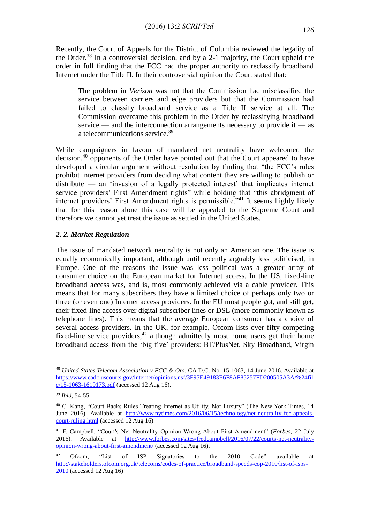Recently, the Court of Appeals for the District of Columbia reviewed the legality of the Order.<sup>38</sup> In a controversial decision, and by a 2-1 majority, the Court upheld the order in full finding that the FCC had the proper authority to reclassify broadband Internet under the Title II. In their controversial opinion the Court stated that:

The problem in *Verizon* was not that the Commission had misclassified the service between carriers and edge providers but that the Commission had failed to classify broadband service as a Title II service at all. The Commission overcame this problem in the Order by reclassifying broadband service — and the interconnection arrangements necessary to provide it — as a telecommunications service.<sup>39</sup>

While campaigners in favour of mandated net neutrality have welcomed the decision, <sup>40</sup> opponents of the Order have pointed out that the Court appeared to have developed a circular argument without resolution by finding that "the FCC's rules prohibit internet providers from deciding what content they are willing to publish or distribute — an 'invasion of a legally protected interest' that implicates internet service providers' First Amendment rights" while holding that "this abridgment of internet providers' First Amendment rights is permissible."<sup>41</sup> It seems highly likely that for this reason alone this case will be appealed to the Supreme Court and therefore we cannot yet treat the issue as settled in the United States.

# *2. 2. Market Regulation*

The issue of mandated network neutrality is not only an American one. The issue is equally economically important, although until recently arguably less politicised, in Europe. One of the reasons the issue was less political was a greater array of consumer choice on the European market for Internet access. In the US, fixed-line broadband access was, and is, most commonly achieved via a cable provider. This means that for many subscribers they have a limited choice of perhaps only two or three (or even one) Internet access providers. In the EU most people got, and still get, their fixed-line access over digital subscriber lines or DSL (more commonly known as telephone lines). This means that the average European consumer has a choice of several access providers. In the UK, for example, Ofcom lists over fifty competing fixed-line service providers,  $42$  although admittedly most home users get their home broadband access from the 'big five' providers: BT/PlusNet, Sky Broadband, Virgin

<sup>38</sup> *United States Telecom Association v FCC & Ors.* CA D.C. No. 15-1063, 14 June 2016. Available at [https://www.cadc.uscourts.gov/internet/opinions.nsf/3F95E49183E6F8AF85257FD200505A3A/%24fil](https://www.cadc.uscourts.gov/internet/opinions.nsf/3F95E49183E6F8AF85257FD200505A3A/%24file/15-1063-1619173.pdf)  $e/15-1063-1619173.$  pdf (accessed 12 Aug 16).

<sup>39</sup> *Ibid*, 54-55.

<sup>40</sup> C. Kang, "Court Backs Rules Treating Internet as Utility, Not Luxury" (The New York Times, 14 June 2016). Available at [http://www.nytimes.com/2016/06/15/technology/net-neutrality-fcc-appeals](http://www.nytimes.com/2016/06/15/technology/net-neutrality-fcc-appeals-court-ruling.html)[court-ruling.html](http://www.nytimes.com/2016/06/15/technology/net-neutrality-fcc-appeals-court-ruling.html) (accessed 12 Aug 16).

<sup>41</sup> F. Campbell, "Court's Net Neutrality Opinion Wrong About First Amendment" (*Forbes*, 22 July 2016). Available at [http://www.forbes.com/sites/fredcampbell/2016/07/22/courts-net-neutrality](http://www.forbes.com/sites/fredcampbell/2016/07/22/courts-net-neutrality-opinion-wrong-about-first-amendment/)[opinion-wrong-about-first-amendment/](http://www.forbes.com/sites/fredcampbell/2016/07/22/courts-net-neutrality-opinion-wrong-about-first-amendment/) (accessed 12 Aug 16).

<sup>&</sup>lt;sup>42</sup> Ofcom, "List of ISP Signatories to the 2010 Code" available at [http://stakeholders.ofcom.org.uk/telecoms/codes-of-practice/broadband-speeds-cop-2010/list-of-isps-](http://stakeholders.ofcom.org.uk/telecoms/codes-of-practice/broadband-speeds-cop-2010/list-of-isps-2010)[2010](http://stakeholders.ofcom.org.uk/telecoms/codes-of-practice/broadband-speeds-cop-2010/list-of-isps-2010) (accessed 12 Aug 16)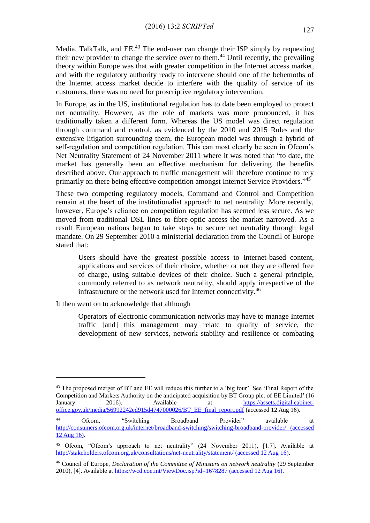Media, TalkTalk, and  $EE^{43}$  The end-user can change their ISP simply by requesting their new provider to change the service over to them.<sup>44</sup> Until recently, the prevailing theory within Europe was that with greater competition in the Internet access market, and with the regulatory authority ready to intervene should one of the behemoths of the Internet access market decide to interfere with the quality of service of its customers, there was no need for proscriptive regulatory intervention.

In Europe, as in the US, institutional regulation has to date been employed to protect net neutrality. However, as the role of markets was more pronounced, it has traditionally taken a different form. Whereas the US model was direct regulation through command and control, as evidenced by the 2010 and 2015 Rules and the extensive litigation surrounding them, the European model was through a hybrid of self-regulation and competition regulation. This can most clearly be seen in Ofcom's Net Neutrality Statement of 24 November 2011 where it was noted that "to date, the market has generally been an effective mechanism for delivering the benefits described above. Our approach to traffic management will therefore continue to rely primarily on there being effective competition amongst Internet Service Providers."<sup>45</sup>

These two competing regulatory models, Command and Control and Competition remain at the heart of the institutionalist approach to net neutrality. More recently, however, Europe's reliance on competition regulation has seemed less secure. As we moved from traditional DSL lines to fibre-optic access the market narrowed. As a result European nations began to take steps to secure net neutrality through legal mandate. On 29 September 2010 a ministerial declaration from the Council of Europe stated that:

Users should have the greatest possible access to Internet-based content, applications and services of their choice, whether or not they are offered free of charge, using suitable devices of their choice. Such a general principle, commonly referred to as network neutrality, should apply irrespective of the infrastructure or the network used for Internet connectivity.<sup>46</sup>

It then went on to acknowledge that although

1

Operators of electronic communication networks may have to manage Internet traffic [and] this management may relate to quality of service, the development of new services, network stability and resilience or combating

<sup>&</sup>lt;sup>43</sup> The proposed merger of BT and EE will reduce this further to a 'big four'. See 'Final Report of the Competition and Markets Authority on the anticipated acquisition by BT Group plc. of EE Limited' (16 January 2016). Available at [https://assets.digital.cabinet](https://assets.digital.cabinet-office.gov.uk/media/56992242ed915d4747000026/BT_EE_final_report.pdf)[office.gov.uk/media/56992242ed915d4747000026/BT\\_EE\\_final\\_report.pdf](https://assets.digital.cabinet-office.gov.uk/media/56992242ed915d4747000026/BT_EE_final_report.pdf) (accessed 12 Aug 16).

<sup>44</sup> Ofcom, "Switching Broadband Provider" available at <http://consumers.ofcom.org.uk/internet/broadband-switching/switching-broadband-provider/> (accessed 12 Aug 16).

<sup>45</sup> Ofcom, "Ofcom's approach to net neutrality" (24 November 2011), [1.7]. Available at <http://stakeholders.ofcom.org.uk/consultations/net-neutrality/statement/> (accessed 12 Aug 16).

<sup>46</sup> Council of Europe, *Declaration of the Committee of Ministers on network neutrality* (29 September 2010), [4]. Available at<https://wcd.coe.int/ViewDoc.jsp?id=1678287> (accessed 12 Aug 16).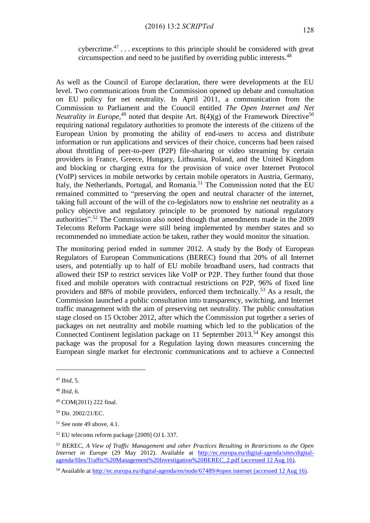# cybercrime.<sup>47</sup>... exceptions to this principle should be considered with great circumspection and need to be justified by overriding public interests.<sup>48</sup>

As well as the Council of Europe declaration, there were developments at the EU level. Two communications from the Commission opened up debate and consultation on EU policy for net neutrality. In April 2011, a communication from the Commission to Parliament and the Council entitled *The Open Internet and Net Neutrality in Europe*,<sup>49</sup> noted that despite Art.  $8(4)(g)$  of the Framework Directive<sup>50</sup> requiring national regulatory authorities to promote the interests of the citizens of the European Union by promoting the ability of end-users to access and distribute information or run applications and services of their choice, concerns had been raised about throttling of peer-to-peer (P2P) file-sharing or video streaming by certain providers in France, Greece, Hungary, Lithuania, Poland, and the United Kingdom and blocking or charging extra for the provision of voice over Internet Protocol (VoIP) services in mobile networks by certain mobile operators in Austria, Germany, Italy, the Netherlands, Portugal, and Romania.<sup>51</sup> The Commission noted that the EU remained committed to "preserving the open and neutral character of the internet, taking full account of the will of the co-legislators now to enshrine net neutrality as a policy objective and regulatory principle to be promoted by national regulatory authorities". <sup>52</sup> The Commission also noted though that amendments made in the 2009 Telecoms Reform Package were still being implemented by member states and so recommended no immediate action be taken, rather they would monitor the situation.

The monitoring period ended in summer 2012. A study by the Body of European Regulators of European Communications (BEREC) found that 20% of all Internet users, and potentially up to half of EU mobile broadband users, had contracts that allowed their ISP to restrict services like VoIP or P2P. They further found that those fixed and mobile operators with contractual restrictions on P2P, 96% of fixed line providers and 88% of mobile providers, enforced them technically.<sup>53</sup> As a result, the Commission launched a public consultation into transparency, switching, and Internet traffic management with the aim of preserving net neutrality. The public consultation stage closed on 15 October 2012, after which the Commission put together a series of packages on net neutrality and mobile roaming which led to the publication of the Connected Continent legislation package on 11 September 2013. <sup>54</sup> Key amongst this package was the proposal for a Regulation laying down measures concerning the European single market for electronic communications and to achieve a Connected

1

<sup>51</sup> See note 49 above, 4.1.

<sup>47</sup> *Ibid,* 5.

<sup>48</sup> *Ibid*, 6.

<sup>49</sup> COM(2011) 222 final.

<sup>50</sup> Dir. 2002/21/EC.

<sup>52</sup> EU telecoms reform package [2009] OJ L 337.

<sup>53</sup> BEREC, *A View of Traffic Management and other Practices Resulting in Restrictions to the Open Internet in Europe* (29 May 2012). Available at [http://ec.europa.eu/digital-agenda/sites/digital](http://ec.europa.eu/digital-agenda/sites/digital-agenda/files/Traffic%20Management%20Investigation%20BEREC_2.pdf)[agenda/files/Traffic%20Management%20Investigation%20BEREC\\_2.pdf](http://ec.europa.eu/digital-agenda/sites/digital-agenda/files/Traffic%20Management%20Investigation%20BEREC_2.pdf) (accessed 12 Aug 16).

<sup>54</sup> Available at<http://ec.europa.eu/digital-agenda/en/node/67489/#open internet> (accessed 12 Aug 16).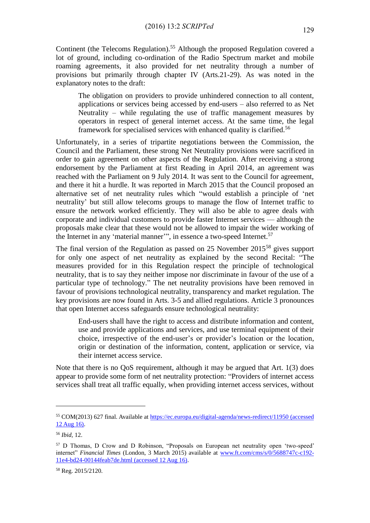Continent (the Telecoms Regulation).<sup>55</sup> Although the proposed Regulation covered a lot of ground, including co-ordination of the Radio Spectrum market and mobile roaming agreements, it also provided for net neutrality through a number of provisions but primarily through chapter IV (Arts.21-29). As was noted in the explanatory notes to the draft:

The obligation on providers to provide unhindered connection to all content, applications or services being accessed by end-users – also referred to as Net Neutrality – while regulating the use of traffic management measures by operators in respect of general internet access. At the same time, the legal framework for specialised services with enhanced quality is clarified.<sup>56</sup>

Unfortunately, in a series of tripartite negotiations between the Commission, the Council and the Parliament, these strong Net Neutrality provisions were sacrificed in order to gain agreement on other aspects of the Regulation. After receiving a strong endorsement by the Parliament at first Reading in April 2014, an agreement was reached with the Parliament on 9 July 2014. It was sent to the Council for agreement, and there it hit a hurdle. It was reported in March 2015 that the Council proposed an alternative set of net neutrality rules which "would establish a principle of 'net neutrality' but still allow telecoms groups to manage the flow of Internet traffic to ensure the network worked efficiently. They will also be able to agree deals with corporate and individual customers to provide faster Internet services — although the proposals make clear that these would not be allowed to impair the wider working of the Internet in any 'material manner'", in essence a two-speed Internet.<sup>57</sup>

The final version of the Regulation as passed on 25 November 2015<sup>58</sup> gives support for only one aspect of net neutrality as explained by the second Recital: "The measures provided for in this Regulation respect the principle of technological neutrality, that is to say they neither impose nor discriminate in favour of the use of a particular type of technology." The net neutrality provisions have been removed in favour of provisions technological neutrality, transparency and market regulation. The key provisions are now found in Arts. 3-5 and allied regulations. Article 3 pronounces that open Internet access safeguards ensure technological neutrality:

End-users shall have the right to access and distribute information and content, use and provide applications and services, and use terminal equipment of their choice, irrespective of the end-user's or provider's location or the location, origin or destination of the information, content, application or service, via their internet access service.

Note that there is no QoS requirement, although it may be argued that Art. 1(3) does appear to provide some form of net neutrality protection: "Providers of internet access services shall treat all traffic equally, when providing internet access services, without

<sup>55</sup> COM(2013) 627 final. Available a[t https://ec.europa.eu/digital-agenda/news-redirect/11950](https://ec.europa.eu/digital-agenda/news-redirect/11950) (accessed 12 Aug 16).

<sup>56</sup> *Ibid,* 12.

<sup>57</sup> D Thomas, D Crow and D Robinson, "Proposals on European net neutrality open 'two-speed' internet" *Financial Times* (London, 3 March 2015) available at [www.ft.com/cms/s/0/5688747c-c192-](http://www.ft.com/cms/s/0/5688747c-c192-11e4-bd24-00144feab7de.html) [11e4-bd24-00144feab7de.html](http://www.ft.com/cms/s/0/5688747c-c192-11e4-bd24-00144feab7de.html) (accessed 12 Aug 16).

<sup>58</sup> Reg. 2015/2120.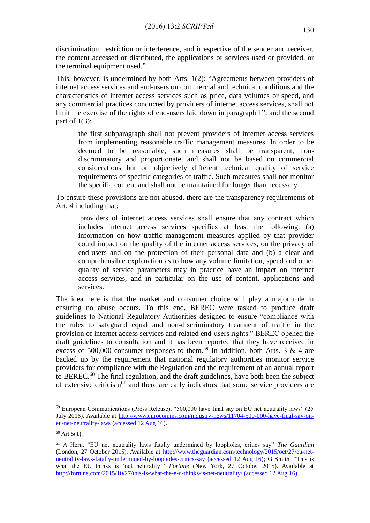discrimination, restriction or interference, and irrespective of the sender and receiver, the content accessed or distributed, the applications or services used or provided, or the terminal equipment used."

This, however, is undermined by both Arts. 1(2): "Agreements between providers of internet access services and end-users on commercial and technical conditions and the characteristics of internet access services such as price, data volumes or speed, and any commercial practices conducted by providers of internet access services, shall not limit the exercise of the rights of end-users laid down in paragraph 1"; and the second part of  $1(3)$ :

the first subparagraph shall not prevent providers of internet access services from implementing reasonable traffic management measures. In order to be deemed to be reasonable, such measures shall be transparent, nondiscriminatory and proportionate, and shall not be based on commercial considerations but on objectively different technical quality of service requirements of specific categories of traffic. Such measures shall not monitor the specific content and shall not be maintained for longer than necessary.

To ensure these provisions are not abused, there are the transparency requirements of Art. 4 including that:

providers of internet access services shall ensure that any contract which includes internet access services specifies at least the following: (a) information on how traffic management measures applied by that provider could impact on the quality of the internet access services, on the privacy of end-users and on the protection of their personal data and (b) a clear and comprehensible explanation as to how any volume limitation, speed and other quality of service parameters may in practice have an impact on internet access services, and in particular on the use of content, applications and services.

The idea here is that the market and consumer choice will play a major role in ensuring no abuse occurs. To this end, BEREC were tasked to produce draft guidelines to National Regulatory Authorities designed to ensure "compliance with the rules to safeguard equal and non-discriminatory treatment of traffic in the provision of internet access services and related end-users rights." BEREC opened the draft guidelines to consultation and it has been reported that they have received in excess of 500,000 consumer responses to them.<sup>59</sup> In addition, both Arts. 3 & 4 are backed up by the requirement that national regulatory authorities monitor service providers for compliance with the Regulation and the requirement of an annual report to BEREC.<sup>60</sup> The final regulation, and the draft guidelines, have both been the subject of extensive criticism<sup>61</sup> and there are early indicators that some service providers are

<sup>59</sup> European Communications (Press Release), "500,000 have final say on EU net neutrality laws" (25 July 2016). Available at [http://www.eurocomms.com/industry-news/11704-500-000-have-final-say-on](http://www.eurocomms.com/industry-news/11704-500-000-have-final-say-on-eu-net-neutrality-laws)[eu-net-neutrality-laws](http://www.eurocomms.com/industry-news/11704-500-000-have-final-say-on-eu-net-neutrality-laws) (accessed 12 Aug 16).

 $60$  Art 5(1).

<sup>61</sup> A Hern, "EU net neutrality laws fatally undermined by loopholes, critics say" *The Guardian* (London, 27 October 2015). Available at [http://www.theguardian.com/technology/2015/oct/27/eu-net](http://www.theguardian.com/technology/2015/oct/27/eu-net-neutrality-laws-fatally-undermined-by-loopholes-critics-say)[neutrality-laws-fatally-undermined-by-loopholes-critics-say](http://www.theguardian.com/technology/2015/oct/27/eu-net-neutrality-laws-fatally-undermined-by-loopholes-critics-say) (accessed 12 Aug 16); G Smith, "This is what the EU thinks is 'net neutrality'" *Fortune* (New York, 27 October 2015). Available at <http://fortune.com/2015/10/27/this-is-what-the-e-u-thinks-is-net-neutrality/> (accessed 12 Aug 16).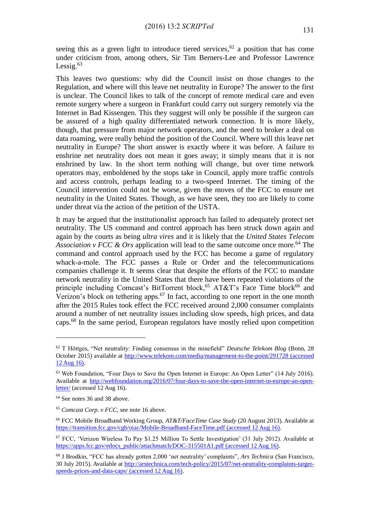seeing this as a green light to introduce tiered services,  $62$  a position that has come under criticism from, among others, Sir Tim Berners-Lee and Professor Lawrence Lessig. $63$ 

This leaves two questions: why did the Council insist on those changes to the Regulation, and where will this leave net neutrality in Europe? The answer to the first is unclear. The Council likes to talk of the concept of remote medical care and even remote surgery where a surgeon in Frankfurt could carry out surgery remotely via the Internet in Bad Kissengen. This they suggest will only be possible if the surgeon can be assured of a high quality differentiated network connection. It is more likely, though, that pressure from major network operators, and the need to broker a deal on data roaming, were really behind the position of the Council. Where will this leave net neutrality in Europe? The short answer is exactly where it was before. A failure to enshrine net neutrality does not mean it goes away; it simply means that it is not enshrined by law. In the short term nothing will change, but over time network operators may, emboldened by the stops take in Council, apply more traffic controls and access controls, perhaps leading to a two-speed Internet. The timing of the Council intervention could not be worse, given the moves of the FCC to ensure net neutrality in the United States. Though, as we have seen, they too are likely to come under threat via the action of the petition of the USTA.

It may be argued that the institutionalist approach has failed to adequately protect net neutrality. The US command and control approach has been struck down again and again by the courts as being *ultra vires* and it is likely that the *United States Telecom*  Association v FCC & Ors application will lead to the same outcome once more.<sup>64</sup> The command and control approach used by the FCC has become a game of regulatory whack-a-mole. The FCC passes a Rule or Order and the telecommunications companies challenge it. It seems clear that despite the efforts of the FCC to mandate network neutrality in the United States that there have been repeated violations of the principle including Comcast's BitTorrent block,<sup>65</sup> AT&T's Face Time block<sup>66</sup> and Verizon's block on tethering apps.<sup>67</sup> In fact, according to one report in the one month after the 2015 Rules took effect the FCC received around 2,000 consumer complaints around a number of net neutrality issues including slow speeds, high prices, and data caps.<sup>68</sup> In the same period, European regulators have mostly relied upon competition

<u>.</u>

<sup>62</sup> T Höttges, "Net neutrality: Finding consensus in the minefield" *Deutsche Telekom Blog* (Bonn, 28 October 2015) available at<http://www.telekom.com/media/management-to-the-point/291728> (accessed 12 Aug 16).

<sup>&</sup>lt;sup>63</sup> Web Foundation, "Four Days to Save the Open Internet in Europe: An Open Letter" (14 July 2016). Available at [http://webfoundation.org/2016/07/four-days-to-save-the-open-internet-in-europe-an-open](http://webfoundation.org/2016/07/four-days-to-save-the-open-internet-in-europe-an-open-letter/)[letter/](http://webfoundation.org/2016/07/four-days-to-save-the-open-internet-in-europe-an-open-letter/) (accessed 12 Aug 16).

<sup>64</sup> See notes 36 and 38 above.

<sup>65</sup> *Comcast Corp. v FCC*, see note 16 above.

<sup>66</sup> FCC Mobile Broadband Working Group, *AT&T/FaceTime Case Study* (20 August 2013). Available at <https://transition.fcc.gov/cgb/oiac/Mobile-Broadband-FaceTime.pdf> (accessed 12 Aug 16).

<sup>67</sup> FCC, 'Verizon Wireless To Pay \$1.25 Million To Settle Investigation' (31 July 2012). Available at [https://apps.fcc.gov/edocs\\_public/attachmatch/DOC-315501A1.pdf](https://apps.fcc.gov/edocs_public/attachmatch/DOC-315501A1.pdf) (accessed 12 Aug 16).

<sup>68</sup> J Brodkin, "FCC has already gotten 2,000 'net neutrality' complaints", *Ars Technica* (San Francisco, 30 July 2015). Available at [http://arstechnica.com/tech-policy/2015/07/net-neutrality-complaints-target](http://arstechnica.com/tech-policy/2015/07/net-neutrality-complaints-target-speeds-prices-and-data-caps/)[speeds-prices-and-data-caps/](http://arstechnica.com/tech-policy/2015/07/net-neutrality-complaints-target-speeds-prices-and-data-caps/) (accessed 12 Aug 16).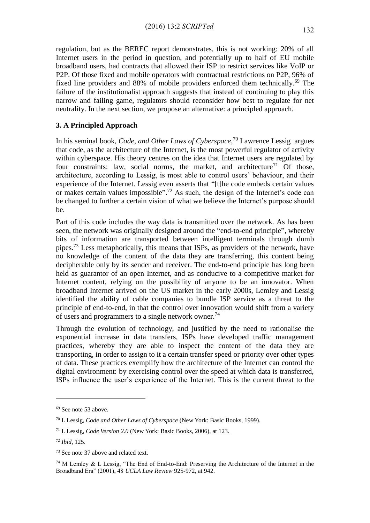regulation, but as the BEREC report demonstrates, this is not working: 20% of all Internet users in the period in question, and potentially up to half of EU mobile broadband users, had contracts that allowed their ISP to restrict services like VoIP or P2P. Of those fixed and mobile operators with contractual restrictions on P2P, 96% of fixed line providers and 88% of mobile providers enforced them technically.<sup>69</sup> The failure of the institutionalist approach suggests that instead of continuing to play this narrow and failing game, regulators should reconsider how best to regulate for net neutrality. In the next section, we propose an alternative: a principled approach.

# **3. A Principled Approach**

In his seminal book, *Code, and Other Laws of Cyberspace*, <sup>70</sup> Lawrence Lessig argues that code, as the architecture of the Internet, is the most powerful regulator of activity within cyberspace. His theory centres on the idea that Internet users are regulated by four constraints: law, social norms, the market, and architecture<sup>71</sup> Of those, architecture, according to Lessig, is most able to control users' behaviour, and their experience of the Internet. Lessig even asserts that "[t]he code embeds certain values or makes certain values impossible".<sup>72</sup> As such, the design of the Internet's code can be changed to further a certain vision of what we believe the Internet's purpose should be.

Part of this code includes the way data is transmitted over the network. As has been seen, the network was originally designed around the "end-to-end principle", whereby bits of information are transported between intelligent terminals through dumb pipes.<sup>73</sup> Less metaphorically, this means that ISPs, as providers of the network, have no knowledge of the content of the data they are transferring, this content being decipherable only by its sender and receiver. The end-to-end principle has long been held as guarantor of an open Internet, and as conducive to a competitive market for Internet content, relying on the possibility of anyone to be an innovator. When broadband Internet arrived on the US market in the early 2000s, Lemley and Lessig identified the ability of cable companies to bundle ISP service as a threat to the principle of end-to-end, in that the control over innovation would shift from a variety of users and programmers to a single network owner.<sup>74</sup>

Through the evolution of technology, and justified by the need to rationalise the exponential increase in data transfers, ISPs have developed traffic management practices, whereby they are able to inspect the content of the data they are transporting, in order to assign to it a certain transfer speed or priority over other types of data. These practices exemplify how the architecture of the Internet can control the digital environment: by exercising control over the speed at which data is transferred, ISPs influence the user's experience of the Internet. This is the current threat to the

<sup>69</sup> See note 53 above.

<sup>70</sup> L Lessig, *Code and Other Laws of Cyberspace* (New York: Basic Books, 1999).

<sup>71</sup> L Lessig, *Code Version 2.0* (New York: Basic Books, 2006), at 123.

<sup>72</sup> *Ibid*, 125.

<sup>73</sup> See note 37 above and related text.

 $74$  M Lemley & L Lessig, "The End of End-to-End: Preserving the Architecture of the Internet in the Broadband Era" (2001), 48 *UCLA Law Review* 925-972, at 942.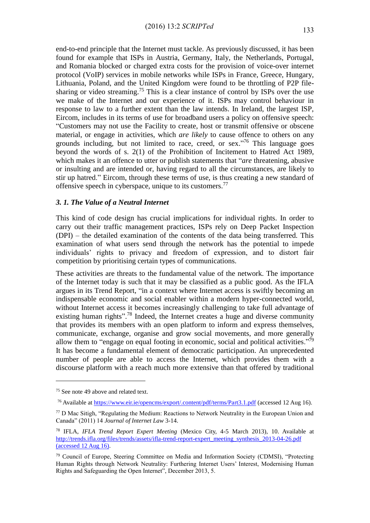end-to-end principle that the Internet must tackle. As previously discussed, it has been found for example that ISPs in Austria, Germany, Italy, the Netherlands, Portugal, and Romania blocked or charged extra costs for the provision of voice-over internet protocol (VoIP) services in mobile networks while ISPs in France, Greece, Hungary, Lithuania, Poland, and the United Kingdom were found to be throttling of P2P filesharing or video streaming.<sup>75</sup> This is a clear instance of control by ISPs over the use we make of the Internet and our experience of it. ISPs may control behaviour in response to law to a further extent than the law intends. In Ireland, the largest ISP, Eircom, includes in its terms of use for broadband users a policy on offensive speech: "Customers may not use the Facility to create, host or transmit offensive or obscene material, or engage in activities, which *are likely* to cause offence to others on any grounds including, but not limited to race, creed, or sex." <sup>76</sup> This language goes beyond the words of s. 2(1) of the Prohibition of Incitement to Hatred Act 1989, which makes it an offence to utter or publish statements that "*are* threatening, abusive or insulting and are intended or, having regard to all the circumstances, are likely to stir up hatred." Eircom, through these terms of use, is thus creating a new standard of offensive speech in cyberspace, unique to its customers.<sup>77</sup>

#### *3. 1. The Value of a Neutral Internet*

This kind of code design has crucial implications for individual rights. In order to carry out their traffic management practices, ISPs rely on Deep Packet Inspection (DPI) – the detailed examination of the contents of the data being transferred. This examination of what users send through the network has the potential to impede individuals' rights to privacy and freedom of expression, and to distort fair competition by prioritising certain types of communications.

These activities are threats to the fundamental value of the network. The importance of the Internet today is such that it may be classified as a public good. As the IFLA argues in its Trend Report, "in a context where Internet access is swiftly becoming an indispensable economic and social enabler within a modern hyper-connected world, without Internet access it becomes increasingly challenging to take full advantage of existing human rights".<sup>78</sup> Indeed, the Internet creates a huge and diverse community that provides its members with an open platform to inform and express themselves, communicate, exchange, organise and grow social movements, and more generally allow them to "engage on equal footing in economic, social and political activities."<sup>79</sup> It has become a fundamental element of democratic participation. An unprecedented number of people are able to access the Internet, which provides them with a discourse platform with a reach much more extensive than that offered by traditional

<sup>&</sup>lt;sup>75</sup> See note 49 above and related text.

<sup>76</sup> Available at<https://www.eir.ie/opencms/export/.content/pdf/terms/Part3.1.pdf> (accessed 12 Aug 16).

 $<sup>77</sup>$  D Mac Sitigh, "Regulating the Medium: Reactions to Network Neutrality in the European Union and</sup> Canada" (2011) 14 *Journal of Internet Law* 3-14.

<sup>78</sup> IFLA, *IFLA Trend Report Expert Meeting* (Mexico City, 4-5 March 2013), 10. Available at [http://trends.ifla.org/files/trends/assets/ifla-trend-report-expert\\_meeting\\_synthesis\\_2013-04-26.pdf](http://trends.ifla.org/files/trends/assets/ifla-trend-report-expert_meeting_synthesis_2013-04-26.pdf) (accessed 12 Aug 16).

<sup>79</sup> Council of Europe, Steering Committee on Media and Information Society (CDMSI), "Protecting Human Rights through Network Neutrality: Furthering Internet Users' Interest, Modernising Human Rights and Safeguarding the Open Internet", December 2013, 5.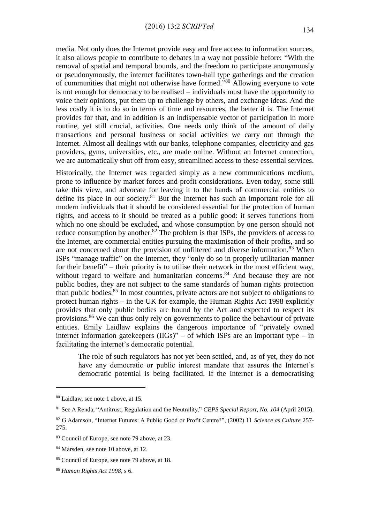media. Not only does the Internet provide easy and free access to information sources, it also allows people to contribute to debates in a way not possible before: "With the removal of spatial and temporal bounds, and the freedom to participate anonymously or pseudonymously, the internet facilitates town-hall type gatherings and the creation of communities that might not otherwise have formed."<sup>80</sup> Allowing everyone to vote is not enough for democracy to be realised – individuals must have the opportunity to voice their opinions, put them up to challenge by others, and exchange ideas. And the less costly it is to do so in terms of time and resources, the better it is. The Internet provides for that, and in addition is an indispensable vector of participation in more routine, yet still crucial, activities. One needs only think of the amount of daily transactions and personal business or social activities we carry out through the Internet. Almost all dealings with our banks, telephone companies, electricity and gas providers, gyms, universities, etc., are made online. Without an Internet connection, we are automatically shut off from easy, streamlined access to these essential services.

Historically, the Internet was regarded simply as a new communications medium, prone to influence by market forces and profit considerations. Even today, some still take this view, and advocate for leaving it to the hands of commercial entities to define its place in our society.<sup>81</sup> But the Internet has such an important role for all modern individuals that it should be considered essential for the protection of human rights, and access to it should be treated as a public good: it serves functions from which no one should be excluded, and whose consumption by one person should not reduce consumption by another. $82$  The problem is that ISPs, the providers of access to the Internet, are commercial entities pursuing the maximisation of their profits, and so are not concerned about the provision of unfiltered and diverse information.<sup>83</sup> When ISPs "manage traffic" on the Internet, they "only do so in properly utilitarian manner for their benefit" – their priority is to utilise their network in the most efficient way, without regard to welfare and humanitarian concerns.<sup>84</sup> And because they are not public bodies, they are not subject to the same standards of human rights protection than public bodies.<sup>85</sup> In most countries, private actors are not subject to obligations to protect human rights – in the UK for example, the Human Rights Act 1998 explicitly provides that only public bodies are bound by the Act and expected to respect its provisions.<sup>86</sup> We can thus only rely on governments to police the behaviour of private entities. Emily Laidlaw explains the dangerous importance of "privately owned internet information gatekeepers  $(IIGs)^{n}$  – of which ISPs are an important type – in facilitating the internet's democratic potential.

The role of such regulators has not yet been settled, and, as of yet, they do not have any democratic or public interest mandate that assures the Internet's democratic potential is being facilitated. If the Internet is a democratising

<sup>80</sup> Laidlaw, see note 1 above, at 15.

<sup>81</sup> See A Renda, "Antitrust, Regulation and the Neutrality," *CEPS Special Report, No. 104* (April 2015).

<sup>82</sup> G Adamson, "Internet Futures: A Public Good or Profit Centre?", (2002) 11 *Science as Culture* 257- 275.

<sup>83</sup> Council of Europe, see note 79 above, at 23.

<sup>84</sup> Marsden, see note 10 above, at 12.

<sup>85</sup> Council of Europe, see note 79 above, at 18.

<sup>86</sup> *Human Rights Act 1998*, s 6.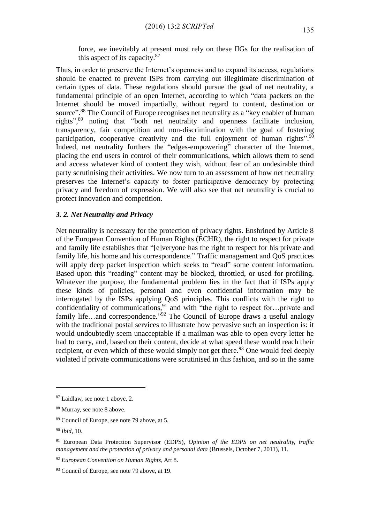force, we inevitably at present must rely on these IIGs for the realisation of this aspect of its capacity.<sup>87</sup>

Thus, in order to preserve the Internet's openness and to expand its access, regulations should be enacted to prevent ISPs from carrying out illegitimate discrimination of certain types of data. These regulations should pursue the goal of net neutrality, a fundamental principle of an open Internet, according to which "data packets on the Internet should be moved impartially, without regard to content, destination or source".<sup>88</sup> The Council of Europe recognises net neutrality as a "key enabler of human rights", <sup>89</sup> noting that "both net neutrality and openness facilitate inclusion, transparency, fair competition and non-discrimination with the goal of fostering participation, cooperative creativity and the full enjoyment of human rights".<sup>90</sup> Indeed, net neutrality furthers the "edges-empowering" character of the Internet, placing the end users in control of their communications, which allows them to send and access whatever kind of content they wish, without fear of an undesirable third party scrutinising their activities. We now turn to an assessment of how net neutrality preserves the Internet's capacity to foster participative democracy by protecting privacy and freedom of expression. We will also see that net neutrality is crucial to protect innovation and competition.

# *3. 2. Net Neutrality and Privacy*

Net neutrality is necessary for the protection of privacy rights. Enshrined by Article 8 of the European Convention of Human Rights (ECHR), the right to respect for private and family life establishes that "[e]veryone has the right to respect for his private and family life, his home and his correspondence." Traffic management and QoS practices will apply deep packet inspection which seeks to "read" some content information. Based upon this "reading" content may be blocked, throttled, or used for profiling. Whatever the purpose, the fundamental problem lies in the fact that if ISPs apply these kinds of policies, personal and even confidential information may be interrogated by the ISPs applying QoS principles. This conflicts with the right to confidentiality of communications,  $91$  and with "the right to respect for...private and family life...and correspondence."<sup>92</sup> The Council of Europe draws a useful analogy with the traditional postal services to illustrate how pervasive such an inspection is: it would undoubtedly seem unacceptable if a mailman was able to open every letter he had to carry, and, based on their content, decide at what speed these would reach their recipient, or even which of these would simply not get there.<sup>93</sup> One would feel deeply violated if private communications were scrutinised in this fashion, and so in the same

<sup>87</sup> Laidlaw, see note 1 above, 2.

<sup>88</sup> Murray, see note 8 above.

<sup>89</sup> Council of Europe, see note 79 above, at 5.

<sup>90</sup> *Ibid*, 10.

<sup>91</sup> European Data Protection Supervisor (EDPS), *Opinion of the EDPS on net neutrality, traffic management and the protection of privacy and personal data* (Brussels, October 7, 2011), 11.

<sup>92</sup> *European Convention on Human Rights*, Art 8.

<sup>&</sup>lt;sup>93</sup> Council of Europe, see note 79 above, at 19.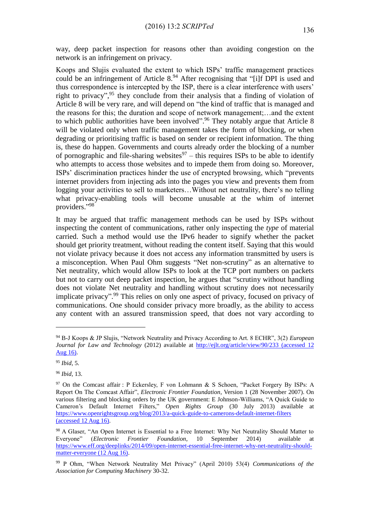way, deep packet inspection for reasons other than avoiding congestion on the network is an infringement on privacy.

Koops and Slujis evaluated the extent to which ISPs' traffic management practices could be an infringement of Article 8.<sup>94</sup> After recognising that "[i]f DPI is used and thus correspondence is intercepted by the ISP, there is a clear interference with users' right to privacy",<sup>95</sup> they conclude from their analysis that a finding of violation of Article 8 will be very rare, and will depend on "the kind of traffic that is managed and the reasons for this; the duration and scope of network management;…and the extent to which public authorities have been involved".<sup>96</sup> They notably argue that Article 8 will be violated only when traffic management takes the form of blocking, or when degrading or prioritising traffic is based on sender or recipient information. The thing is, these do happen. Governments and courts already order the blocking of a number of pornographic and file-sharing websites $97 -$  this requires ISPs to be able to identify who attempts to access those websites and to impede them from doing so. Moreover, ISPs' discrimination practices hinder the use of encrypted browsing, which "prevents internet providers from injecting ads into the pages you view and prevents them from logging your activities to sell to marketers…Without net neutrality, there's no telling what privacy-enabling tools will become unusable at the whim of internet providers." 98

It may be argued that traffic management methods can be used by ISPs without inspecting the content of communications, rather only inspecting the *type* of material carried. Such a method would use the IPv6 header to signify whether the packet should get priority treatment, without reading the content itself. Saying that this would not violate privacy because it does not access any information transmitted by users is a misconception. When Paul Ohm suggests "Net non-scrutiny" as an alternative to Net neutrality, which would allow ISPs to look at the TCP port numbers on packets but not to carry out deep packet inspection, he argues that "scrutiny without handling does not violate Net neutrality and handling without scrutiny does not necessarily implicate privacy".<sup>99</sup> This relies on only one aspect of privacy, focused on privacy of communications. One should consider privacy more broadly, as the ability to access any content with an assured transmission speed, that does not vary according to

<sup>94</sup> B-J Koops & JP Slujis, "Network Neutrality and Privacy According to Art. 8 ECHR", 3(2) *European Journal for Law and Technology* (2012) available at<http://ejlt.org/article/view/90/233> (accessed 12 Aug 16).

<sup>95</sup> *Ibid*, 5.

<sup>96</sup> *Ibid*, 13.

<sup>97</sup> On the Comcast affair : P Eckersley, F von Lohmann & S Schoen, "Packet Forgery By ISPs: A Report On The Comcast Affair", *Electronic Frontier Foundation*, Version 1 (28 November 2007). On various filtering and blocking orders by the UK government: E Johnson-Williams, "A Quick Guide to Cameron's Default Internet Filters," *Open Rights Group* (30 July 2013) available at <https://www.openrightsgroup.org/blog/2013/a-quick-guide-to-camerons-default-internet-filters> (accessed 12 Aug 16).

<sup>98</sup> A Glaser, "An Open Internet is Essential to a Free Internet: Why Net Neutrality Should Matter to Everyone" (*Electronic Frontier Foundation*, 10 September 2014) available at [https://www.eff.org/deeplinks/2014/09/open-internet-essential-free-internet-why-net-neutrality-should](https://www.eff.org/deeplinks/2014/09/open-internet-essential-free-internet-why-net-neutrality-should-matter-everyone)[matter-everyone](https://www.eff.org/deeplinks/2014/09/open-internet-essential-free-internet-why-net-neutrality-should-matter-everyone) (12 Aug 16).

<sup>99</sup> P Ohm, "When Network Neutrality Met Privacy" (April 2010) 53(4) *Communications of the Association for Computing Machinery* 30-32.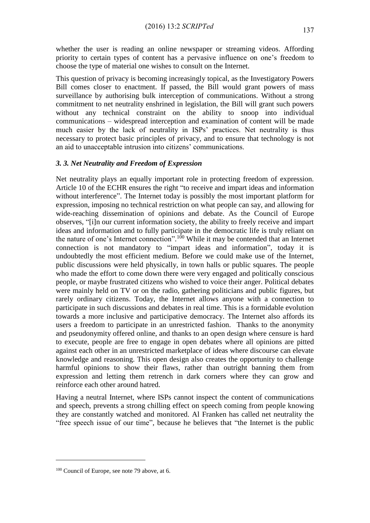whether the user is reading an online newspaper or streaming videos. Affording priority to certain types of content has a pervasive influence on one's freedom to choose the type of material one wishes to consult on the Internet.

This question of privacy is becoming increasingly topical, as the Investigatory Powers Bill comes closer to enactment. If passed, the Bill would grant powers of mass surveillance by authorising bulk interception of communications. Without a strong commitment to net neutrality enshrined in legislation, the Bill will grant such powers without any technical constraint on the ability to snoop into individual communications – widespread interception and examination of content will be made much easier by the lack of neutrality in ISPs' practices. Net neutrality is thus necessary to protect basic principles of privacy, and to ensure that technology is not an aid to unacceptable intrusion into citizens' communications.

#### *3. 3. Net Neutrality and Freedom of Expression*

Net neutrality plays an equally important role in protecting freedom of expression. Article 10 of the ECHR ensures the right "to receive and impart ideas and information without interference". The Internet today is possibly the most important platform for expression, imposing no technical restriction on what people can say, and allowing for wide-reaching dissemination of opinions and debate. As the Council of Europe observes, "[i]n our current information society, the ability to freely receive and impart ideas and information and to fully participate in the democratic life is truly reliant on the nature of one's Internet connection".<sup>100</sup> While it may be contended that an Internet connection is not mandatory to "impart ideas and information", today it is undoubtedly the most efficient medium. Before we could make use of the Internet, public discussions were held physically, in town halls or public squares. The people who made the effort to come down there were very engaged and politically conscious people, or maybe frustrated citizens who wished to voice their anger. Political debates were mainly held on TV or on the radio, gathering politicians and public figures, but rarely ordinary citizens. Today, the Internet allows anyone with a connection to participate in such discussions and debates in real time. This is a formidable evolution towards a more inclusive and participative democracy. The Internet also affords its users a freedom to participate in an unrestricted fashion. Thanks to the anonymity and pseudonymity offered online, and thanks to an open design where censure is hard to execute, people are free to engage in open debates where all opinions are pitted against each other in an unrestricted marketplace of ideas where discourse can elevate knowledge and reasoning. This open design also creates the opportunity to challenge harmful opinions to show their flaws, rather than outright banning them from expression and letting them retrench in dark corners where they can grow and reinforce each other around hatred.

Having a neutral Internet, where ISPs cannot inspect the content of communications and speech, prevents a strong chilling effect on speech coming from people knowing they are constantly watched and monitored. Al Franken has called net neutrality the "free speech issue of our time", because he believes that "the Internet is the public

<sup>&</sup>lt;sup>100</sup> Council of Europe, see note 79 above, at 6.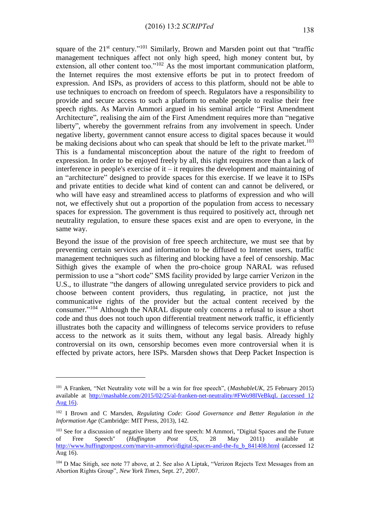square of the  $21^{st}$  century."<sup>101</sup> Similarly, Brown and Marsden point out that "traffic management techniques affect not only high speed, high money content but, by extension, all other content too."<sup>102</sup> As the most important communication platform, the Internet requires the most extensive efforts be put in to protect freedom of expression. And ISPs, as providers of access to this platform, should not be able to use techniques to encroach on freedom of speech. Regulators have a responsibility to provide and secure access to such a platform to enable people to realise their free speech rights. As Marvin Ammori argued in his seminal article "First Amendment Architecture", realising the aim of the First Amendment requires more than "negative liberty", whereby the government refrains from any involvement in speech. Under negative liberty, government cannot ensure access to digital spaces because it would be making decisions about who can speak that should be left to the private market.<sup>103</sup> This is a fundamental misconception about the nature of the right to freedom of expression. In order to be enjoyed freely by all, this right requires more than a lack of interference in people's exercise of it – it requires the development and maintaining of an "architecture" designed to provide spaces for this exercise. If we leave it to ISPs and private entities to decide what kind of content can and cannot be delivered, or who will have easy and streamlined access to platforms of expression and who will not, we effectively shut out a proportion of the population from access to necessary spaces for expression. The government is thus required to positively act, through net neutrality regulation, to ensure these spaces exist and are open to everyone, in the same way.

Beyond the issue of the provision of free speech architecture, we must see that by preventing certain services and information to be diffused to Internet users, traffic management techniques such as filtering and blocking have a feel of censorship. Mac Sithigh gives the example of when the pro-choice group NARAL was refused permission to use a "short code" SMS facility provided by large carrier Verizon in the U.S., to illustrate "the dangers of allowing unregulated service providers to pick and choose between content providers, thus regulating, in practice, not just the communicative rights of the provider but the actual content received by the consumer." <sup>104</sup> Although the NARAL dispute only concerns a refusal to issue a short code and thus does not touch upon differential treatment network traffic, it efficiently illustrates both the capacity and willingness of telecoms service providers to refuse access to the network as it suits them, without any legal basis. Already highly controversial on its own, censorship becomes even more controversial when it is effected by private actors, here ISPs. Marsden shows that Deep Packet Inspection is

<sup>101</sup> A Franken, "Net Neutrality vote will be a win for free speech", (*MashableUK*, 25 February 2015) available at <http://mashable.com/2015/02/25/al-franken-net-neutrality/#FWo98lVeBkqL> (accessed 12 Aug 16).

<sup>102</sup> I Brown and C Marsden, *Regulating Code: Good Governance and Better Regulation in the Information Age* (Cambridge: MIT Press, 2013), 142.

<sup>&</sup>lt;sup>103</sup> See for a discussion of negative liberty and free speech: M Ammori, "Digital Spaces and the Future of Free Speech" (*Huffington Post US*, 28 May 2011) available at [http://www.huffingtonpost.com/marvin-ammori/digital-spaces-and-the-fu\\_b\\_841408.html](http://www.huffingtonpost.com/marvin-ammori/digital-spaces-and-the-fu_b_841408.html) (accessed 12 Aug 16).

<sup>104</sup> D Mac Sitigh, see note 77 above, at 2. See also A Liptak, "Verizon Rejects Text Messages from an Abortion Rights Group", *New York Times*, Sept. 27, 2007.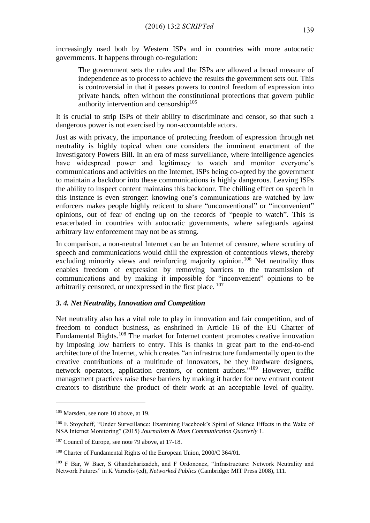increasingly used both by Western ISPs and in countries with more autocratic governments. It happens through co-regulation:

The government sets the rules and the ISPs are allowed a broad measure of independence as to process to achieve the results the government sets out. This is controversial in that it passes powers to control freedom of expression into private hands, often without the constitutional protections that govern public authority intervention and censorship $105$ 

It is crucial to strip ISPs of their ability to discriminate and censor, so that such a dangerous power is not exercised by non-accountable actors.

Just as with privacy, the importance of protecting freedom of expression through net neutrality is highly topical when one considers the imminent enactment of the Investigatory Powers Bill. In an era of mass surveillance, where intelligence agencies have widespread power and legitimacy to watch and monitor everyone's communications and activities on the Internet, ISPs being co-opted by the government to maintain a backdoor into these communications is highly dangerous. Leaving ISPs the ability to inspect content maintains this backdoor. The chilling effect on speech in this instance is even stronger: knowing one's communications are watched by law enforcers makes people highly reticent to share "unconventional" or "inconvenient" opinions, out of fear of ending up on the records of "people to watch". This is exacerbated in countries with autocratic governments, where safeguards against arbitrary law enforcement may not be as strong.

In comparison, a non-neutral Internet can be an Internet of censure, where scrutiny of speech and communications would chill the expression of contentious views, thereby excluding minority views and reinforcing majority opinion.<sup>106</sup> Net neutrality thus enables freedom of expression by removing barriers to the transmission of communications and by making it impossible for "inconvenient" opinions to be arbitrarily censored, or unexpressed in the first place. <sup>107</sup>

#### *3. 4. Net Neutrality, Innovation and Competition*

Net neutrality also has a vital role to play in innovation and fair competition, and of freedom to conduct business, as enshrined in Article 16 of the EU Charter of Fundamental Rights.<sup>108</sup> The market for Internet content promotes creative innovation by imposing low barriers to entry. This is thanks in great part to the end-to-end architecture of the Internet, which creates "an infrastructure fundamentally open to the creative contributions of a multitude of innovators, be they hardware designers, network operators, application creators, or content authors."<sup>109</sup> However, traffic management practices raise these barriers by making it harder for new entrant content creators to distribute the product of their work at an acceptable level of quality.

<sup>105</sup> Marsden, see note 10 above, at 19.

<sup>106</sup> E Stoycheff, "Under Surveillance: Examining Facebook's Spiral of Silence Effects in the Wake of NSA Internet Monitoring" (2015) *Journalism & Mass Communication Quarterly* 1.

<sup>&</sup>lt;sup>107</sup> Council of Europe, see note 79 above, at 17-18.

<sup>108</sup> Charter of Fundamental Rights of the European Union, 2000/C 364/01.

<sup>109</sup> F Bar, W Baer, S Ghandeharizadeh, and F Ordononez, "Infrastructure: Network Neutrality and Network Futures" in K Varnelis (ed), *Networked Publics* (Cambridge: MIT Press 2008), 111.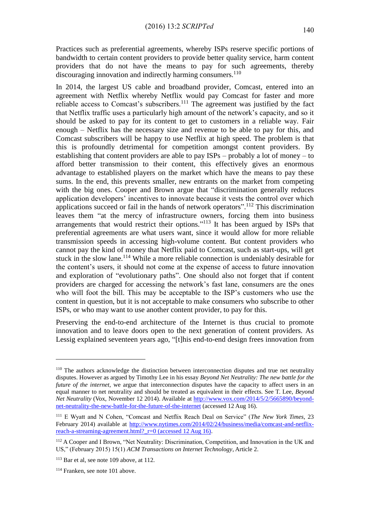Practices such as preferential agreements, whereby ISPs reserve specific portions of bandwidth to certain content providers to provide better quality service, harm content providers that do not have the means to pay for such agreements, thereby discouraging innovation and indirectly harming consumers.<sup>110</sup>

In 2014, the largest US cable and broadband provider, Comcast, entered into an agreement with Netflix whereby Netflix would pay Comcast for faster and more reliable access to Comcast's subscribers.<sup>111</sup> The agreement was justified by the fact that Netflix traffic uses a particularly high amount of the network's capacity, and so it should be asked to pay for its content to get to customers in a reliable way. Fair enough – Netflix has the necessary size and revenue to be able to pay for this, and Comcast subscribers will be happy to use Netflix at high speed. The problem is that this is profoundly detrimental for competition amongst content providers. By establishing that content providers are able to pay ISPs – probably a lot of money – to afford better transmission to their content, this effectively gives an enormous advantage to established players on the market which have the means to pay these sums. In the end, this prevents smaller, new entrants on the market from competing with the big ones. Cooper and Brown argue that "discrimination generally reduces application developers' incentives to innovate because it vests the control over which applications succeed or fail in the hands of network operators".<sup>112</sup> This discrimination leaves them "at the mercy of infrastructure owners, forcing them into business arrangements that would restrict their options."<sup>113</sup> It has been argued by ISPs that preferential agreements are what users want, since it would allow for more reliable transmission speeds in accessing high-volume content. But content providers who cannot pay the kind of money that Netflix paid to Comcast, such as start-ups, will get stuck in the slow lane.<sup>114</sup> While a more reliable connection is undeniably desirable for the content's users, it should not come at the expense of access to future innovation and exploration of "evolutionary paths". One should also not forget that if content providers are charged for accessing the network's fast lane, consumers are the ones who will foot the bill. This may be acceptable to the ISP's customers who use the content in question, but it is not acceptable to make consumers who subscribe to other ISPs, or who may want to use another content provider, to pay for this.

Preserving the end-to-end architecture of the Internet is thus crucial to promote innovation and to leave doors open to the next generation of content providers. As Lessig explained seventeen years ago, "[t]his end-to-end design frees innovation from

<sup>&</sup>lt;sup>110</sup> The authors acknowledge the distinction between interconnection disputes and true net neutrality disputes. However as argued by Timothy Lee in his essay *Beyond Net Neutrality: The new battle for the future of the internet*, we argue that interconnection disputes have the capacity to affect users in an equal manner to net neutrality and should be treated as equivalent in their effects. See T. Lee, *Beyond Net Neutrality* (Vox, November 12 2014). Available at [http://www.vox.com/2014/5/2/5665890/beyond](http://www.vox.com/2014/5/2/5665890/beyond-net-neutrality-the-new-battle-for-the-future-of-the-internet)[net-neutrality-the-new-battle-for-the-future-of-the-internet](http://www.vox.com/2014/5/2/5665890/beyond-net-neutrality-the-new-battle-for-the-future-of-the-internet) (accessed 12 Aug 16).

<sup>111</sup> E Wyatt and N Cohen, "Comcast and Netflix Reach Deal on Service" (*The New York Times*, 23 February 2014) available at [http://www.nytimes.com/2014/02/24/business/media/comcast-and-netflix](http://www.nytimes.com/2014/02/24/business/media/comcast-and-netflix-reach-a-streaming-agreement.html?_r=0)reach-a-streaming-agreement.html? r=0 (accessed 12 Aug 16).

<sup>&</sup>lt;sup>112</sup> A Cooper and I Brown, "Net Neutrality: Discrimination, Competition, and Innovation in the UK and US," (February 2015) 15(1) *ACM Transactions on Internet Technology*, Article 2.

<sup>&</sup>lt;sup>113</sup> Bar et al. see note 109 above, at 112.

<sup>114</sup> Franken, see note 101 above.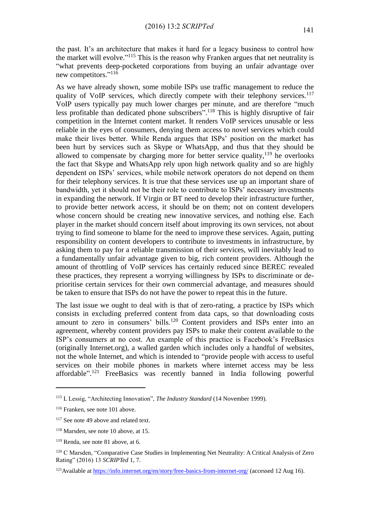the past. It's an architecture that makes it hard for a legacy business to control how the market will evolve."<sup>115</sup> This is the reason why Franken argues that net neutrality is "what prevents deep-pocketed corporations from buying an unfair advantage over new competitors."<sup>116</sup>

As we have already shown, some mobile ISPs use traffic management to reduce the quality of VoIP services, which directly compete with their telephony services.<sup>117</sup> VoIP users typically pay much lower charges per minute, and are therefore "much less profitable than dedicated phone subscribers".<sup>118</sup> This is highly disruptive of fair competition in the Internet content market. It renders VoIP services unusable or less reliable in the eyes of consumers, denying them access to novel services which could make their lives better. While Renda argues that ISPs' position on the market has been hurt by services such as Skype or WhatsApp, and thus that they should be allowed to compensate by charging more for better service quality, $1^{19}$  he overlooks the fact that Skype and WhatsApp rely upon high network quality and so are highly dependent on ISPs' services, while mobile network operators do not depend on them for their telephony services. It is true that these services use up an important share of bandwidth, yet it should not be their role to contribute to ISPs' necessary investments in expanding the network. If Virgin or BT need to develop their infrastructure further, to provide better network access, it should be on them; not on content developers whose concern should be creating new innovative services, and nothing else. Each player in the market should concern itself about improving its own services, not about trying to find someone to blame for the need to improve these services. Again, putting responsibility on content developers to contribute to investments in infrastructure, by asking them to pay for a reliable transmission of their services, will inevitably lead to a fundamentally unfair advantage given to big, rich content providers. Although the amount of throttling of VoIP services has certainly reduced since BEREC revealed these practices, they represent a worrying willingness by ISPs to discriminate or deprioritise certain services for their own commercial advantage, and measures should be taken to ensure that ISPs do not have the power to repeat this in the future.

The last issue we ought to deal with is that of zero-rating, a practice by ISPs which consists in excluding preferred content from data caps, so that downloading costs amount to zero in consumers' bills.<sup>120</sup> Content providers and ISPs enter into an agreement, whereby content providers pay ISPs to make their content available to the ISP's consumers at no cost. An example of this practice is Facebook's FreeBasics (originally Internet.org), a walled garden which includes only a handful of websites, not the whole Internet, and which is intended to "provide people with access to useful services on their mobile phones in markets where internet access may be less affordable".<sup>121</sup> FreeBasics was recently banned in India following powerful

<sup>115</sup> L Lessig, "Architecting Innovation", *The Industry Standard* (14 November 1999).

<sup>116</sup> Franken, see note 101 above.

<sup>&</sup>lt;sup>117</sup> See note 49 above and related text.

<sup>118</sup> Marsden, see note 10 above, at 15.

<sup>119</sup> Renda, see note 81 above, at 6.

<sup>120</sup> C Marsden, "Comparative Case Studies in Implementing Net Neutrality: A Critical Analysis of Zero Rating" (2016) 13 *SCRIPTed* 1, 7.

<sup>&</sup>lt;sup>121</sup>Available at<https://info.internet.org/en/story/free-basics-from-internet-org/> (accessed 12 Aug 16).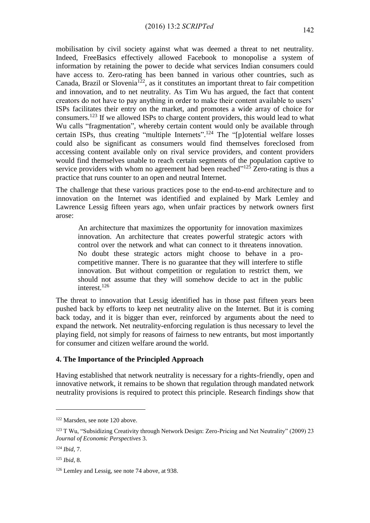mobilisation by civil society against what was deemed a threat to net neutrality. Indeed, FreeBasics effectively allowed Facebook to monopolise a system of information by retaining the power to decide what services Indian consumers could have access to. Zero-rating has been banned in various other countries, such as Canada, Brazil or Slovenia<sup>122</sup>, as it constitutes an important threat to fair competition and innovation, and to net neutrality. As Tim Wu has argued, the fact that content creators do not have to pay anything in order to make their content available to users' ISPs facilitates their entry on the market, and promotes a wide array of choice for consumers.<sup>123</sup> If we allowed ISPs to charge content providers, this would lead to what Wu calls "fragmentation", whereby certain content would only be available through certain ISPs, thus creating "multiple Internets". <sup>124</sup> The "[p]otential welfare losses could also be significant as consumers would find themselves foreclosed from accessing content available only on rival service providers, and content providers would find themselves unable to reach certain segments of the population captive to service providers with whom no agreement had been reached"<sup>125</sup> Zero-rating is thus a practice that runs counter to an open and neutral Internet.

The challenge that these various practices pose to the end-to-end architecture and to innovation on the Internet was identified and explained by Mark Lemley and Lawrence Lessig fifteen years ago, when unfair practices by network owners first arose:

An architecture that maximizes the opportunity for innovation maximizes innovation. An architecture that creates powerful strategic actors with control over the network and what can connect to it threatens innovation. No doubt these strategic actors might choose to behave in a procompetitive manner. There is no guarantee that they will interfere to stifle innovation. But without competition or regulation to restrict them, we should not assume that they will somehow decide to act in the public interest.<sup>126</sup>

The threat to innovation that Lessig identified has in those past fifteen years been pushed back by efforts to keep net neutrality alive on the Internet. But it is coming back today, and it is bigger than ever, reinforced by arguments about the need to expand the network. Net neutrality-enforcing regulation is thus necessary to level the playing field, not simply for reasons of fairness to new entrants, but most importantly for consumer and citizen welfare around the world.

#### **4. The Importance of the Principled Approach**

Having established that network neutrality is necessary for a rights-friendly, open and innovative network, it remains to be shown that regulation through mandated network neutrality provisions is required to protect this principle. Research findings show that

<sup>122</sup> Marsden, see note 120 above.

<sup>&</sup>lt;sup>123</sup> T Wu, "Subsidizing Creativity through Network Design: Zero-Pricing and Net Neutrality" (2009) 23 *Journal of Economic Perspectives* 3.

<sup>124</sup> *Ibid*, 7.

<sup>125</sup> *Ibid*, 8.

<sup>126</sup> Lemley and Lessig, see note 74 above, at 938.